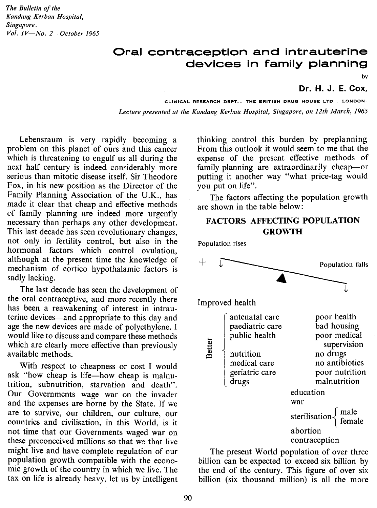*The Bulletin of the Kandang Kerbau Hospital, Singapore. Vol. IV-No. 2-0ctober 1965*

## **Oral contraception and intrauterine devices in family planning**

bv

Dr. H. J. E. Cox.

CLINICAL RESEARCH DEPT., THE BRITISH DRUG HOUSE LTD., LONDON. Lecture presented at the Kandang Kerbau Hospital, Singapore, on 12th March, 1965

Lebensraum is very rapidly becoming a problem on this planet of ours and this cancer which is threatening to engulf us all during the next half century is indeed considerably more serious than mitotic disease itself, Sir Theodore Fox, in his new position as the Director of the Family Planning Association of the U.K., has made it clear that cheap and effective methods of family planning are indeed more urgently necessary than perhaps any other development. This last decade has seen revolutionary changes, not only in fertility control, but also in the hormonal factors which control ovulation, although at the present time the knowledge of mechanism of cortico hypothalamic factors is sadly lacking.

The last decade has seen the development of the oral contraceptive, and more recently there has been a reawakening of interest in intrauterine devices-and appropriate to this day and age the new devices are made of polyethylene. I would like to discuss and compare these methods which are clearly more effective than previously available methods.

With respect to cheapness or cost I would ask "how cheap is life-how cheap is malnutrition, subnutrition, starvation and death". Our Governments wage war on the invader and the expenses are borne by the State. If we are to survive, our children, our culture, our countries and civilisation, in this World, is it not time that our Governments waged war on these preconceived millions so that we that live might live and have complete regulation of our population growth compatible with the economic growth of the country in which we live. The tax on life is already heavy, let us by intelligent

thinking control this burden by preplanning From this outlook it would seem to me that the expense of the present effective methods of family planning are extraordinarily cheap-or putting it another way "what price-tag would you put on life".

The factors affecting the population growth are shown in the table below:

### **FACTORS AFFECTING POPULATION GROWTH**

Population rises Population falls Improved health . antenatal care poor health bad housing paediatric care public health poor medical **Better** supervision no drugs nutrition  $\begin{bmatrix} 1 \\ 3 \\ 4 \end{bmatrix}$ medical care no antibiotics geriatric care poor nutrition malnutrition drugseducation war sterilisation $\begin{cases} \text{male} \\ \text{female} \end{cases}$ abortion . contraception

The present World population of over three billion can be expected to exceed six billion by the end of the century. This figure of over six billion (six thousand million) is all the more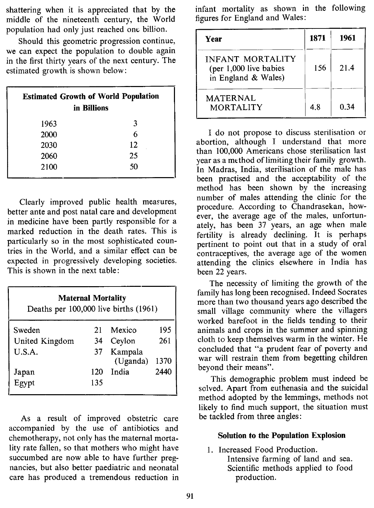shattering when it is appreciated that by the middle of the nineteenth century, the World population had only just reached one billion.

Should this geometric progression continue, we can expect the population to double again in the first thirty years of the next century. The estimated growth is shown below:

| <b>Estimated Growth of World Population</b><br>in Billions |    |  |  |
|------------------------------------------------------------|----|--|--|
| 1963                                                       | 3  |  |  |
| 2000                                                       | 6  |  |  |
| 2030                                                       | 12 |  |  |
| 2060                                                       | 25 |  |  |
| 2100                                                       | 50 |  |  |

Clearly improved public health meawres, better ante and post natal care and development in medicine have been partly responsible for a marked reduction in the death rates. This is particularly so in the most sophisticated countries in the World, and a similar effect can be expected in progressively developing societies. This is shown in the next table:

| <b>Maternal Mortality</b><br>Deaths per 100,000 live births (1961) |     |                     |      |  |
|--------------------------------------------------------------------|-----|---------------------|------|--|
| Sweden                                                             | 21  | Mexico              | 195  |  |
| United Kingdom                                                     | 34  | Ceylon              | 261  |  |
| U.S.A.                                                             | 37  | Kampala<br>(Uganda) | 1370 |  |
| Japan                                                              | 120 | India               | 2440 |  |
| $\tilde{Egypt}$                                                    | 135 |                     |      |  |

As a result of improved obstetric care accompanied by the use of antibiotics and chemotherapy, not only has the maternal mortality rate fallen, so that mothers who might have succumbed are now able to have further pregnancies, but also better paediatric and neonatal care has produced a tremendous reduction in infant mortality as shown in the following figures for England and Wales:

| Year                                                                     | 1871 | 1961 |
|--------------------------------------------------------------------------|------|------|
| <b>INFANT MORTALITY</b><br>(per 1,000 live babies<br>in England & Wales) | 156  | 21.4 |
| <b>MATERNAL</b><br><b>MORTALITY</b>                                      | 4.8  | 0.34 |

I do not propose to discuss stenlisation or abortion, although I understand that more than 100,000 Americans chose sterilisation last year as a method of limiting their family growth. In Madras, India, sterilisation of the male has been practised and the acceptability of the method has been shown by the increasing number of males attending the clinic for the procedure. According to Chandrasekan, however, the average age of the males, unfortunately, has been 37 years, an age when male fertility is already declining. It is perhaps pertinent to point out that in a study of oral contraceptives, the average age of the women attending the clinics elsewhere in India has been 22 years.

The necessity of limiting the growth of the family has long been recognised. Indeed Socrates more than two thousand years ago described the small village community where the villagers worked barefoot in the fields tending to their animals and crops in the summer and spinning cloth to keep themselves warm in the winter. He concluded that "a prudent fear of poverty and war will restrain them from begetting children beyond their means".

This demographic problem must indeed be solved. Apart from euthenasia and the suicidal method adopted by the lemmings, methods not likely to find much support, the situation must be tackled from three angles:

#### **Solution to the Population Explosion**

1. Increased Food Production. Intensive farming of land and sea. Scientific methods applied to food production.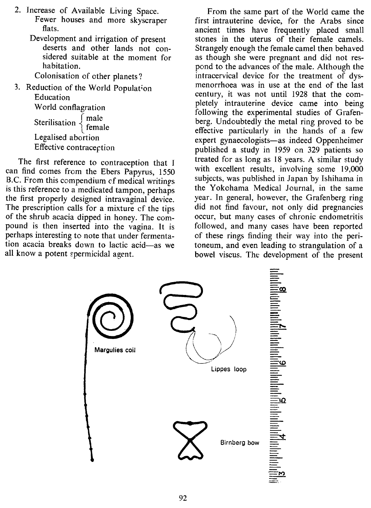- 2. Increase of Available Living Space. Fewer houses and more skyscraper flats.
	- Development and irrigation of present deserts and other lands not considered suitable at the moment for habitation.

Colonisation of other planets?

3. Reduction of the World Population Education World conflagration Sterilisation  $\begin{cases}$  male<br>female Legalised abortion Effective contracection

The first reference to contraception that I can find comes from the Ebers Papyrus, 1550 B.C. From this compendium of medical writings is this reference to a medicated tampon, perhaps the first properly designed intravaginal device. The prescription calls for a mixture cf the tips of the shrub acacia dipped in honey. The compound is then inserted into the vagina. It is perhaps interesting to note that under fermentation acacia breaks down to lactic acid-as we all know a potent spermicidal agent.

From the same part of the World came the first intrauterine device, for the Arabs since ancient times have frequently placed small stones in the uterus of their female camels. Strangely enough the female camel then behaved as though she were pregnant and did not respond to the advances of the male. Although the intracervical device for the treatment of dysmenorrhoea was in use at the end of the last century, it was not until 1928 that the completely intrauterine device came into being following the experimental studies of Grafenberg. Undoubtedly the metal ring proved to be effective particularly in the hands of a few expert gynaecologists-as indeed Oppenheimer published a study in 1959 on 329 patients so treated for as long as 18 years. A similar study with excellent results, involving some 19,000 subjects, was published in Japan by Ishihama in the Yokohama Medical Journal, in the same year. In general, however, the Grafenberg ring did not find favour, not only did pregnancies occur, but many cases of chronic endometritis followed, and many cases have been reported of these rings finding their way into the peritoneum, and even leading to strangulation of a bowel viscus. The development of the present

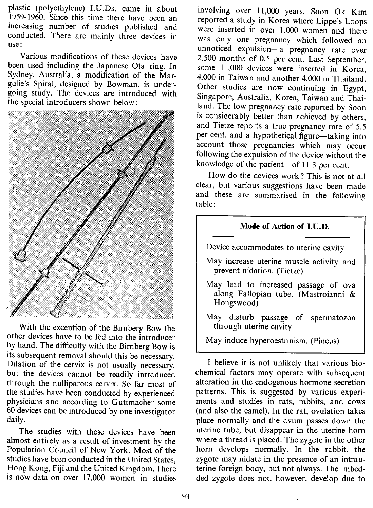plastic (polyethylene) I.U.Ds. came in about 1959-1960. Since this time there have been an increasing number of studies published and conducted. There are mainly three devices in use:

Various modifications of these devices have been used including the Japanese Ota ring. In Sydney, Australia, a modification of the Margulie's Spiral, designed by Bowman, is undergoing study. The devices are introduced with the special introducers shown below:



With the exception of the Birnberg Bow the other devices have to be fed into the introducer by hand. The difficulty with the Birnberg Bow is its subsequent removal should this be necessary. Dilation of the cervix is not usually necessary, but the devices cannot be readily introduced through the nulliparous cervix. So far most of the studies have been conducted by experienced physicians and according to Guttmacher some 60 devices can be introduced by one investigator daily.

The studies with these devices have been almost entirely as a result of investment by the Population Council of New York. Most of the studies have been conducted in the United States, Hong Kong, Fiji and the United Kingdom. There is now data on over 17,000 women in studies

involving over 11,000 years. Soon Ok Kim reported a study in Korea where Lippe's Loops were inserted in over 1,000 women and there was only one pregnancy which followed an unnoticed expulsion-a pregnancy rate over 2,500 months of 0.5 per cent. Last September, some 11,000 devices were inserted in Korea, 4,000 in Taiwan and another 4,000 in Thailand. Other studies are now continuing in Egypt, Singapore, Australia, Korea, Taiwan and Thailand. The low pregnancy rate reported by Soon is considerably better than achieved by others, and Tietze reports a true pregnancy rate of 5.5 per cent, and a hypothetical figure—taking into account those pregnancies which may occur following the expulsion of the device without the knowledge of the patient-of 11.3 per cent.

How do the devices work? This is not at all clear, but various suggestions have been made and these are summarised in the following table:

# Mode of Action of I.U.D. Device accommodates to uterine cavity May increase uterine muscle activity and prevent nidation. (Tietze) May lead to increased passage of ova along Fallopian tube. (Mastroianni & Hongswood) May disturb passage of spermatozoa through uterine cavity May induce hyperoestrinism. (Pincus)

I believe it is not unlikely that various biochemical factors may operate with subsequent alteration in the endogenous hormone secretion patterns. This is suggested by various experiments and studies in rats, rabbits, and cows (and also the camel). In the rat, ovulation takes place normally and the ovum passes down the uterine tube, but disappear in the uterine horn where a thread is placed. The zygote in the other horn develops normally. In the rabbit, the zygote may nidate in the presence of an intrauterine foreign body, but not always. The imbedded zygote does not, however, develop due to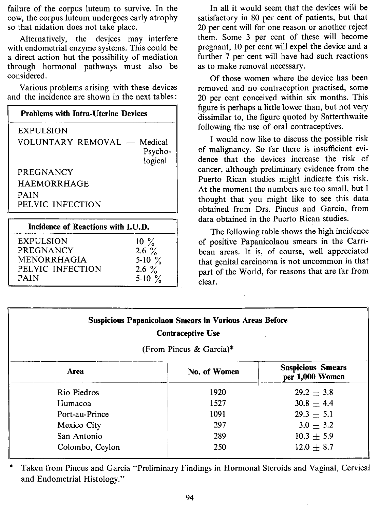failure of the corpus luteum to survive. In the cow, the corpus luteum undergoes early atrophy so that nidation does not take place.

Alternatively, the devices may interfere with endometrial enzyme systems. This could be a direct action but the possibility of mediation through hormonal pathways must also be considered.

Various problems arising with these devices and the incidence are shown in the next tables:

| <b>Problems with Intra-Uterine Devices</b>        |  |  |
|---------------------------------------------------|--|--|
| <b>EXPULSION</b>                                  |  |  |
| VOLUNTARY REMOVAL - Medical<br>Psycho-<br>logical |  |  |
| <b>PREGNANCY</b>                                  |  |  |
| <b>HAEMORRHAGE</b>                                |  |  |
| <b>PAIN</b><br>PELVIC INFECTION                   |  |  |
|                                                   |  |  |

| Incidence of Reactions with I.U.D. |                   |  |
|------------------------------------|-------------------|--|
| <b>EXPULSION</b>                   | $10\frac{9}{6}$   |  |
| PREGNANCY                          | 2.6 $\frac{9}{6}$ |  |
| MENORRHAGIA                        | 5-10 $\%$         |  |
| PELVIC INFECTION                   | 2.6 $\frac{9}{6}$ |  |
| <b>PAIN</b>                        | 5-10 $\%$         |  |

In all it would seem that the devices will be satisfactory in 80 per cent of patients, but that 20 per cent will for one reason or another reject them. Some 3 per cent of these will become pregnant, 10 per cent will expel the device and a further 7 per cent will have had such reactions as to make removal necessary.

Of those women where the device has been removed and no contraception practised, some 20 per cent conceived within six months. This figure is perhaps a little lower than, but not very dissimilar to, the figure quoted by Satterthwaite following the use of oral contraceptives.

I would now like to discuss the possible risk of malignancy. So far there is insufficient evidence that the devices increase the risk of cancer, although preliminary evidence from the Puerto Rican studies might indicate this risk. At the moment the numbers are too small, but I thought that you might like to see this data obtained from Drs. Pincus and Garcia, from data obtained in the Puerto Rican studies.

The following table shows the high incidence of positive Papanicolaou smears in the Carribean areas. It is, of course, well appreciated that genital carcinoma is not uncommon in that part of the World, for reasons that are far from clear.

| <b>Suspicious Papanicolaou Smears in Various Areas Before</b><br><b>Contraceptive Use</b><br>(From Pincus & Garcia)* |                                             |                |  |
|----------------------------------------------------------------------------------------------------------------------|---------------------------------------------|----------------|--|
| Area                                                                                                                 | <b>Suspicious Smears</b><br>per 1,000 Women |                |  |
| Rio Piedros                                                                                                          | 1920                                        | $29.2 \pm 3.8$ |  |
| Humacoa                                                                                                              | 1527                                        | $30.8 + 4.4$   |  |
| Port-au-Prince                                                                                                       | $29.3 + 5.1$                                |                |  |
| Mexico City                                                                                                          | 297                                         | $3.0 + 3.2$    |  |
| San Antonio                                                                                                          | 289                                         | $10.3 \pm 5.9$ |  |
| Colombo, Ceylon                                                                                                      | 250                                         | $12.0 + 8.7$   |  |

.•. Taken from Pincus and Garcia "Preliminary Findings in Hormonal Steroids and Vaginal, Cervical and Endometrial Histology."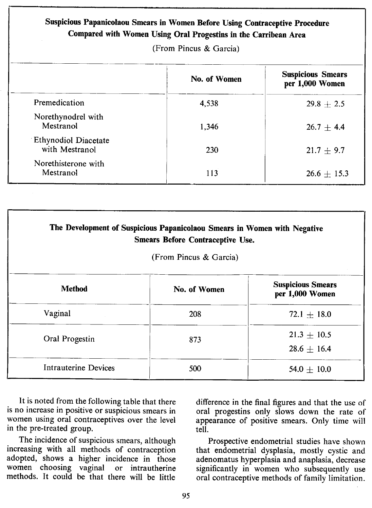| Suspicious Papanicolaou Smears in Women Before Using Contraceptive Procedure<br>Compared with Women Using Oral Progestins in the Carribean Area<br>(From Pincus & Garcia) |              |                                             |  |
|---------------------------------------------------------------------------------------------------------------------------------------------------------------------------|--------------|---------------------------------------------|--|
|                                                                                                                                                                           | No. of Women | <b>Suspicious Smears</b><br>per 1,000 Women |  |
| Premedication                                                                                                                                                             | 4,538        | $29.8 + 2.5$                                |  |
| Norethynodrel with<br>Mestranol                                                                                                                                           | 1,346        | $26.7 + 4.4$                                |  |
| <b>Ethynodiol Diacetate</b><br>with Mestranol                                                                                                                             | 230          | $21.7 + 9.7$                                |  |
| Norethisterone with<br>Mestranol                                                                                                                                          | 113          | $26.6 \pm 15.3$                             |  |

| The Development of Suspicious Papanicolaou Smears in Women with Negative<br><b>Smears Before Contraceptive Use.</b><br>(From Pincus & Garcia) |                                                             |                                    |  |  |  |
|-----------------------------------------------------------------------------------------------------------------------------------------------|-------------------------------------------------------------|------------------------------------|--|--|--|
| <b>Method</b>                                                                                                                                 | <b>Suspicious Smears</b><br>No. of Women<br>per 1,000 Women |                                    |  |  |  |
| Vaginal                                                                                                                                       | 208                                                         | $72.1 \pm 18.0$                    |  |  |  |
| Oral Progestin                                                                                                                                | 873                                                         | $21.3 \pm 10.5$<br>$28.6 \pm 16.4$ |  |  |  |
| Intrauterine Devices                                                                                                                          | 500                                                         | $54.0 + 10.0$                      |  |  |  |

It is noted from the following table that there is no increase in positive or suspicious smears in women using oral contraceptives over the level in the pre-treated group.

The incidence of suspicious smears, although increasing with all methods of contraception adopted, shows a higher incidence in those women choosing vaginal or intrautherine methods. It could be that there will be little

difference in the final figures and that the use of oral progestins only slows down the rate of appearance of positive smears. Only time will tell.

Prospective endometrial studies have shown that endometrial dysplasia, mostly cystic and adenomatus hyperplasia and anaplasia, decrease significantly in women who subsequently use oral contraceptive methods of family limitation.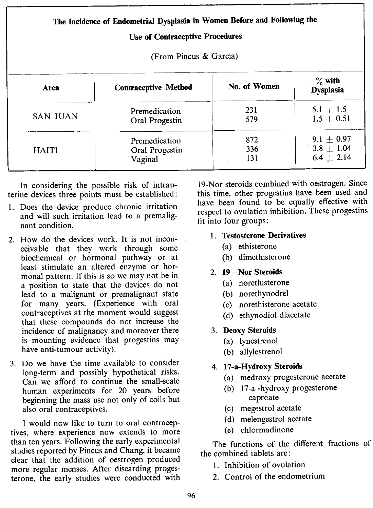|                 | The Incidence of Endometrial Dysplasia in Women Before and Following the<br><b>Use of Contraceptive Procedures</b> |                   |                                                  |  |  |
|-----------------|--------------------------------------------------------------------------------------------------------------------|-------------------|--------------------------------------------------|--|--|
|                 | (From Pincus & Garcia)                                                                                             |                   |                                                  |  |  |
| Area            | <b>Contraceptive Method</b>                                                                                        | No. of Women      | $\%$ with<br><b>Dysplasia</b>                    |  |  |
| <b>SAN JUAN</b> | Premedication<br>Oral Progestin                                                                                    | 231<br>579        | $5.1 \pm 1.5$<br>$1.5 \pm 0.51$                  |  |  |
| <b>HAITI</b>    | Premedication<br>Oral Progestin<br>Vaginal                                                                         | 872<br>336<br>131 | $9.1 + 0.97$<br>$3.8 \pm 1.04$<br>$6.4 \pm 2.14$ |  |  |

In considering the possible risk of intrauterine devices three points must be established:

- 1. Does the device produce chronic irritation and will such irritation lead to a premalignant condition.
- 2. How do the devices work. It is not inconceivable that they work through some biochemical or hormonal pathway or at least stimulate an altered enzyme or hormonal pattern. If this is so we may not be in a position to state that the devices do not lead to a malignant or premalignant state for many years. (Experience with oral contraceptives at the moment would suggest that these compounds do net increase the incidence of malignancy and moreover there is mounting evidence that progestins may have anti-tumour activity).
- 3. Do we have the time available to consider long-term and possibly hypothetical risks. Can we afford to continue the small-scale human experiments for 20 years before beginning the mass use not only of coils but also oral contraceptives.

I would now like to turn to oral contraceptives, where experience now extends to more than ten years. Following the early experimental studies reported by Pincus and Chang, it became clear that the addition of oestrogen produced more regular menses. After discarding progesterone, the early studies were conducted with

19-Nor steroids combined with oestrogen. Since this time, other progestins have been used and have been found to be equally effective with respect to ovulation inhibition. These progestins fit into four groups:

- 1. Testosterone Derivatives
	- (a) ethisterone
	- (b) dimethisterone
- 2. 19-Nor Steroids
	- (a) norethisterone
	- (b) norethynodrel
	- (c) norethisterone acetate
	- (d) ethynodiol diacetate
- 3. Deoxy Steroids
	- (a) lynestrenol
	- (b) allylestrenol

### 4. 17-a-Hydroxy Steroids

- (a) medroxy progesterone acetate
- (b) 17-a -hydroxy progesterone caproate
- (c) megestrol acetate
- (d) melengestrol acetate
- (e) chlormadinone

The functions of the different fractions of the combined tablets are:

- 1. Inhibition of ovulation
- 2. Control of the endometrium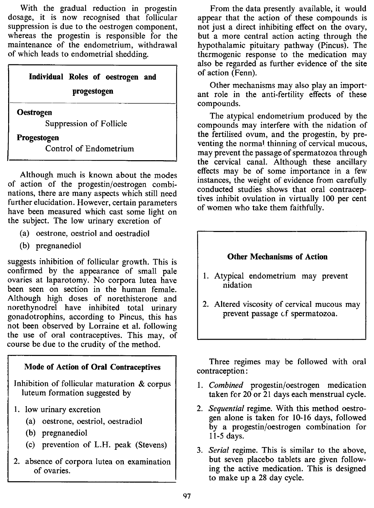With the gradual reduction in progestin dosage, it is now recognised that follicular suppression is due to the oestrogen component, whereas the progestin is responsible for the maintenance of the endometrium, withdrawal of which leads to endometrial shedding.

> **Individual Roles of oestrogen and progestogen**

**Oestrogen**

Suppression of Follicle

**Progestogen**

Control of Endometrium

Although much is known about the modes of action of the progestin/oestrogen combinations, there are many aspects which still need further elucidation. However, certain parameters have been measured which cast some light on the subject. The low urinary excretion of

- (a) oestrone, oestriol and oestradiol
- (b) pregnanediol

suggests inhibition of follicular growth. This is confirmed by the appearance of small pale ovaries at laparotomy. No corpora lutea have been seen on section in the human female. Although high doses of norethisterone and norethynodrel have inhibited total urinary gonadotrophins, according to Pincus, this has not been observed by Lorraine et al. following the use of oral contraceptives. This may, of course be due to the crudity of the method.

#### **Mode of Action of Oral Contraceptives**

Inhibition of follicular maturation & corpus luteum formation suggested by

- 1. low urinary excretion
	- (a) oestrone, oestriol, oestradiol
	- (b) pregnanediol
	- (c) prevention of L.H. peak (Stevens)
- 2. absence of corpora lutea on examination of ovaries.

From the data presently available, it would appear that the action of these compounds is not just a direct inhibiting effect on the ovary, but a more central action acting through the hypothalamic pituitary pathway (Pincus). The thermogenic response to the medication may also be regarded as further evidence of the site of action (Fenn).

Other mechanisms may also play an important role in the anti-fertility effects of these compounds.

The atypical endometrium produced by the compounds may interfere with the nidation of the fertilised ovum, and the progestin, by preventing the normal thinning of cervical mucous, may prevent the passage of spermatozoa through the cervical canal. Although these ancillary effects may be of some importance in a few instances, the weight of evidence from carefully conducted studies shows that oral contraceptives inhibit ovulation in virtually 100 per cent of women who take them faithfully.



Three regimes may be followed with oral contraception:

- 1. *Combined* progestin/oestrogen medication taken for 20 or 21 days each menstrual cycle.
- *2. Sequential* regime. With this method oestrogen alone is taken for 10-16 days, followed by a progestin/oestrogen combination for 11-5 days.
- *3. Serial* regime. This is similar to the above, but seven placebo tablets are given following the active medication. This is designed to make up a 28 day cycle.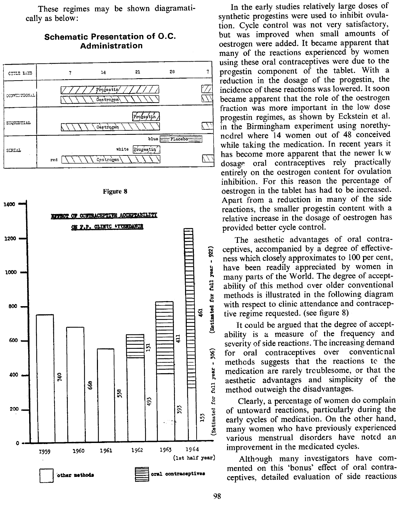These regimes may be shown diagramatically as below:

#### **Schematic Presentation of** *D.C.* **Administration**





In the early studies relatively large doses of synthetic progestins were used to inhibit ovulation. Cycle control was not very satisfactory, but was improved when small amounts of oestrogen were added. It became apparent that many of the reactions experienced by women using these oral contraceptives were due to the progestin component of the tablet. With a reduction in the dosage of the progestin, the incidence of these reactions was lowered. It soon became apparent that the role of the oestrogen fraction was more important in the low dose progestin regimes, as shown by Eckstein et al. in the Birmingham experiment using norethynodrel where 14 women out of 48 conceived while taking the medication. In recent years it  $\sum_{n=1}^{\infty}$  has become more apparent that the newer It w dosage oral contraceptives rely practically entirely on the oestrogen content for ovulation inhibition. For this reason the percentage of oestrogen in the tablet has had to be increased. Apart from a reduction in many of the side reactions, the smaller progestin content with a relative increase in the dosage of oestrogen has provided better cycle control.

The aesthetic advantages of oral contra-<br>
ceptives, accompanied by a degree of effective-<br>
ness which closely approximates to 100 per cent, ness which closely approximates to 100 per cent,<br>lave been readily appreciated by women in<br>many parts of the World. The degree of acceptmany parts of the World. The degree of accept-  $\ddot{\mathbf{z}}$  ability of this method over older conventional a methods is illustrated in the following diagram<br>with respect to clinic attendance and contracep-<br>tive regime requested. (see figure 8)<br>It could be argued that the degree of acceptwith respect to clinic attendance and contraceptive regime requested. (see figure 8)

It could be argued that the degree of acceptability is a measure of the frequency and severity of side reactions. The increasing demand<br>  $\hat{g}$  for oral contraceptives over convention of the interest of the interest of the interest of the interest interest in medication are rarely troublesome, or that the exerterior advantages and simplicity of the aesthetic advantages and simplicity of the method outweigh the disadvantages.<br>E Clearly, a percentage of women of

Clearly, a percentage of women do complain <sup>3</sup> of untoward reactions, particularly during the early cycles of medication. On the other hand, many women who have previously experienced early cycles of medication. On the other hand, many women who have previously experienced various menstrual disorders have noted an improvement in the medicated cycles.

Although many investigators have commented on this 'bonus' effect of oral contraceptives, detailed evaluation of side reactions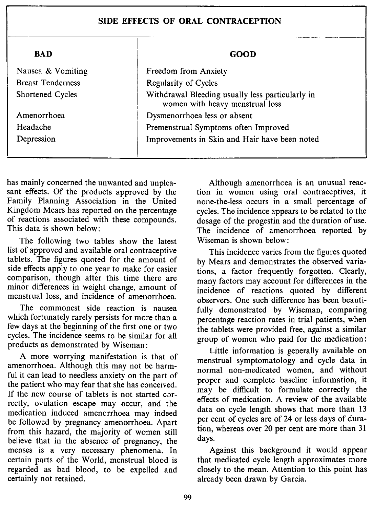#### SIDE EFFECTS OF ORAL CONTRACEPTION

| <b>BAD</b>               | GOOD                                                                                |  |
|--------------------------|-------------------------------------------------------------------------------------|--|
| Nausea & Vomiting        | Freedom from Anxiety                                                                |  |
| <b>Breast Tenderness</b> | Regularity of Cycles                                                                |  |
| Shortened Cycles         | Withdrawal Bleeding usually less particularly in<br>women with heavy menstrual loss |  |
| Amenorrhoea              | Dysmenorrhoea less or absent                                                        |  |
| Headache                 | Premenstrual Symptoms often Improved                                                |  |
| Depression               | Improvements in Skin and Hair have been noted                                       |  |

has mainly concerned the unwanted and unpleasant effects. Of the products approved by the Family Planning Association in the United Kingdom Mears has reported on the percentage of reactions associated with these compounds. This data is shown below:

The following two tables show the latest list of approved and available oral contraceptive tablets. The figures quoted for the amount of side effects apply to one year to make for easier comparison, though after this time there are minor differences in weight change, amount of menstrual loss, and incidence of amenorrhoea.

The commonest side reaction is nausea which fortunately rarely persists for more than a few days at the beginning of the first one or two cycles. The incidence seems to be similar for all products as demonstrated by Wiseman:

A more worrying manifestation is that of amenorrhoea. Although this may not be harmful it can lead to needless anxiety on the part of the patient who may fear that she has conceived. If the new course of tablets is not started correctly, ovulation escape may occur, and the medication induced amencrrhoea may indeed be followed by pregnancy amenorrhoea. Apart from this hazard, the majority of women still believe that in the absence of pregnancy, the menses is a very necessary phenomena. In certain parts of the World, menstrual blood is regarded as bad blood, to be expelled and certainly not retained.

Although amenorrhoea is an unusual reaction in women using oral contraceptives, it none-the-less occurs in a small percentage of cycles. The incidence appears to be related to the dosage of the progestin and the duration of use. The incidence of amenorrhoea reported by Wiseman is shown below:

This incidence varies from the figures quoted by Mears and demonstrates the observed variations, a factor frequently forgotten. Clearly, many factors may account for differences in the incidence of reactions quoted by different observers. One such difference has been beautifully demonstrated by Wiseman, comparing percentage reaction rates in trial patients, when the tablets were provided free, against a similar group of women who paid for the medication:

Little information is generally available on menstrual symptomatology and cycle data in normal non-medicated women, and without proper and complete baseline information, it may be difficult to formulate correctly the effects of medication. A review of the available data on cycle length shows that more than 13 per cent of cycles are of 24 or less days of duration, whereas over 20 per cent are more than 31 days.

Against this background it would appear that medicated cycle length approximates more closely to the mean. Attention to this point has already been drawn by Garcia.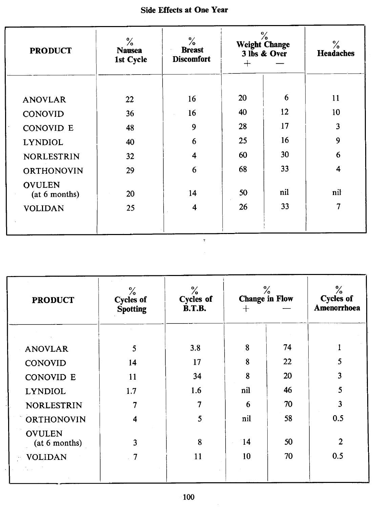| <b>Side Effects at One Year</b> |  |  |  |
|---------------------------------|--|--|--|
|---------------------------------|--|--|--|

| <b>PRODUCT</b>                 | ℅<br><b>Nausea</b><br>1st Cycle | $\frac{6}{10}$<br><b>Breast</b><br><b>Discomfort</b> | $\%$<br><b>Weight Change</b><br>3 lbs & Over<br>┿ |     | ℅<br><b>Headaches</b> |
|--------------------------------|---------------------------------|------------------------------------------------------|---------------------------------------------------|-----|-----------------------|
| <b>ANOVLAR</b>                 | 22                              | 16                                                   | 20                                                | 6   | 11                    |
| <b>CONOVID</b>                 | 36                              | 16                                                   | 40                                                | 12  | 10                    |
| <b>CONOVID E</b>               | 48                              | 9                                                    | 28                                                | 17  | 3                     |
| <b>LYNDIOL</b>                 | 40                              | 6                                                    | 25                                                | 16  | 9                     |
| <b>NORLESTRIN</b>              | 32                              | 4                                                    | 60                                                | 30  | 6                     |
| <b>ORTHONOVIN</b>              | 29                              | 6                                                    | 68                                                | 33  | 4                     |
| <b>OVULEN</b><br>(at 6 months) | 20                              | 14                                                   | 50                                                | nil | nil                   |
| <b>VOLIDAN</b>                 | 25                              | 4                                                    | 26                                                | 33  | 7                     |
|                                |                                 |                                                      |                                                   |     |                       |

 $\mathbf{r}$ 

| <b>PRODUCT</b>                 | ℅<br><b>Cycles of</b> | ℅<br>Cycles of |                 | ℅<br><b>Change in Flow</b> | ℅<br><b>Cycles of</b><br>Amenorrhoea |  |
|--------------------------------|-----------------------|----------------|-----------------|----------------------------|--------------------------------------|--|
|                                | Spotting              | <b>B.T.B.</b>  | $\pm$           |                            |                                      |  |
|                                |                       |                |                 |                            |                                      |  |
| <b>ANOVLAR</b>                 | 5                     | 3.8            | 8               | 74                         |                                      |  |
| CONOVID                        | 14                    | 17             | 8               | 22                         | 5                                    |  |
| <b>CONOVID E</b>               | 11                    | 34             | 8               | 20                         | 3                                    |  |
| <b>LYNDIOL</b>                 | 1.7                   | 1.6            | nil             | 46                         | 5                                    |  |
| <b>NORLESTRIN</b>              | 7                     | 7              | 6               | 70                         | 3                                    |  |
| ORTHONOVIN                     | 4                     | 5              | nil             | 58                         | 0.5                                  |  |
| <b>OVULEN</b><br>(at 6 months) | 3                     | 8              | $\overline{14}$ | 50                         | $\overline{2}$                       |  |
| <b>VOLIDAN</b>                 | 7                     | 11             | 10              | 70                         | 0.5                                  |  |
|                                |                       |                |                 |                            |                                      |  |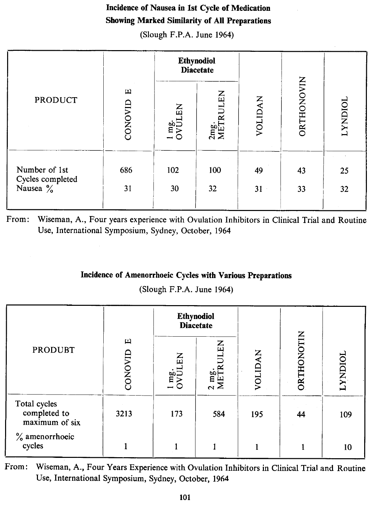## Incidence of Nausea in 1st Cycle of Medication Showing Marked Similarity of All Preparations

(Slough F.P.A. June 1964)

|                                                           |              | <b>Ethynodiol</b><br><b>Diacetate</b> |                       |          |            |                |
|-----------------------------------------------------------|--------------|---------------------------------------|-----------------------|----------|------------|----------------|
| <b>PRODUCT</b>                                            | щ<br>CONOVID | EN<br>$\frac{1}{2}$ mg.               | RULEN<br>2mg.<br>METI | VOLIDAN  | ORTHONOVIN | <b>LYNDIOL</b> |
| Number of 1st<br>Cycles completed<br>Nausea $\frac{9}{6}$ | 686<br>31    | 102<br>30                             | 100<br>32             | 49<br>31 | 43<br>33   | 25<br>32       |

From: Wiseman, A., Four years experience with Ovulation Inhibitors in Clinical Trial and Routine Use, International Symposium, Sydney, October, 1964

## Incidence of Amenorrhoeic Cycles with Various Preparations

(Slough F.P.A. June 1964)

|                                                |              | <b>Ethynodiol</b><br><b>Diacetate</b> |                               |         |            |                |
|------------------------------------------------|--------------|---------------------------------------|-------------------------------|---------|------------|----------------|
| <b>PRODUBT</b>                                 | щ<br>CONOVID | $\Xi$<br>$\frac{1}{2}$ mg.            | <b>ULEN</b><br>2 mg.<br>METRI | VOLIDAN | ORTHONOTIN | <b>LYNDIOL</b> |
| Total cycles<br>completed to<br>maximum of six | 3213         | 173                                   | 584                           | 195     | 44         | 109            |
| $\%$ amenorrhoeic<br>cycles                    |              |                                       |                               |         |            | 10             |

From: Wiseman, A., Four Years Experience with Ovulation Inhibitors in Clinical Trial and Routine Use, International Symposium, Sydney, October, 1964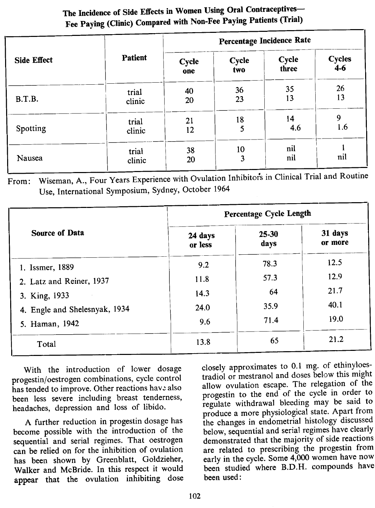## The Incidence of Side Effects in Women Using Oral Contraceptives-Fee Paying (Clinic) Compared with Non-Fee Paying Patients (Trial)

|                    |                 | Percentage Incidence Rate |              |                |                        |  |
|--------------------|-----------------|---------------------------|--------------|----------------|------------------------|--|
| <b>Side Effect</b> | Patient         | <b>Cycle</b><br>one       | Cycle<br>two | Cycle<br>three | <b>Cycles</b><br>$4-6$ |  |
| B.T.B.             | trial<br>clinic | 40<br>20                  | 36<br>23     | 35<br>13       | 26<br>13               |  |
| Spotting           | trial<br>clinic | 21<br>12                  | 18<br>5      | 14<br>4.6      | 9<br>1.6               |  |
| Nausea             | trial<br>clinic | 38<br>20                  | 10<br>3      | nil<br>nil     | nil                    |  |

rom: Wiseman, A., Four Years Experience with Ovulation Inhibitors in Clinical Trial and Routin Use, International Symposium, Sydney, October 1964

|                               | Percentage Cycle Length |               |                    |  |  |
|-------------------------------|-------------------------|---------------|--------------------|--|--|
| Source of Data                | 24 days<br>or less      | 25-30<br>days | 31 days<br>or more |  |  |
| 1. Issmer, 1889               | 9.2                     | 78.3          | 12.5               |  |  |
| 2. Latz and Reiner, 1937      | 11.8                    | 57.3          | 12.9               |  |  |
| 3. King, 1933                 | 14.3                    | 64            | 21.7               |  |  |
| 4. Engle and Shelesnyak, 1934 | 24.0                    | 35.9          | 40.1               |  |  |
| 5. Haman, 1942                | 9.6                     | 71.4          | 19.0               |  |  |
| Total                         | 13.8                    | 65            | 21.2               |  |  |

With the introduction of lower dosage progestin/oestrogen combinations, cycle control has tended to improve. Other reactions have also been less severe including breast tenderness, headaches, depression and loss of libido.

A further reduction in progestin dosage has become possible with the introduction of the sequential and serial regimes. That oestrogen can be relied on for the inhibition of ovulation has been shown by Greenblatt, Goldzieher, Walker and McBride. In this respect it would appear that the ovulation inhibiting dose closely approximates to 0.1 mg. of ethinyloestradiol or mestranol and doses below this might allow ovulation escape. The relegation of the progestin to the end of the cycle in order to regulate withdrawal bleeding may be said to produce a more physiological state. Apart from the changes in endometrial histology discussed below, sequential and serial regimes have clearly demonstrated that the majority of side reactions are related to prescribing the progestin from early in the cycle. Some 4,000 women have now been studied where B.D.H. compounds have been used: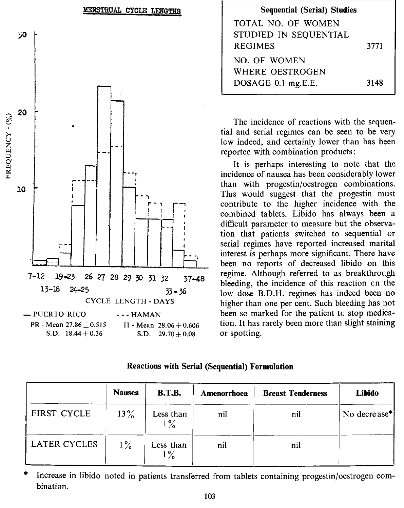

| <b>Sequential (Serial) Studies</b> |      |
|------------------------------------|------|
| TOTAL NO. OF WOMEN                 |      |
| STUDIED IN SEQUENTIAL              |      |
| <b>REGIMES</b>                     | 3771 |
| NO. OF WOMEN                       |      |
| WHERE OESTROGEN                    |      |
| DOSAGE 0.1 mg.E.E.                 | 3148 |

The incidence of reactions with the sequential and serial regimes can be seen to be very low indeed, and certainly lower than has been reported with combination products:

It is perhaps interesting to note that the incidence of nausea has been considerably lower than with progestin/oestrogen combinations. This would suggest that the progestin must contribute to the higher incidence with the combined tablets. Libido has always been a difficult parameter to measure but the observation that patients switched to sequential or serial regimes have reported increased marital interest is perhaps more significant. There have been no reports of decreased libido on this regime. Although referred to as breakthrough bleeding, the incidence of this reaction en the low dose RD.H. regimes has indeed been no higher than one per cent. Such bleeding has not been so marked for the patient to stop medication. It has rarely been more than slight staining or spotting.

|  |  |  |  |  | <b>Reactions with Serial (Sequential) Formulation</b> |
|--|--|--|--|--|-------------------------------------------------------|
|--|--|--|--|--|-------------------------------------------------------|

|              | <b>Nausea</b> | <b>B.T.B.</b>      | Amenorrhoea | <b>Breast Tenderness</b> | Libido       |
|--------------|---------------|--------------------|-------------|--------------------------|--------------|
| FIRST CYCLE  | $13\%$        | Less than<br>$1\%$ | nil         | nil                      | No decrease* |
| LATER CYCLES | $1\%$         | Less than<br>$1\%$ | nil         | nil                      |              |

Increase in libido noted in patients transferred from tablets containing progestin/oestrogen combination.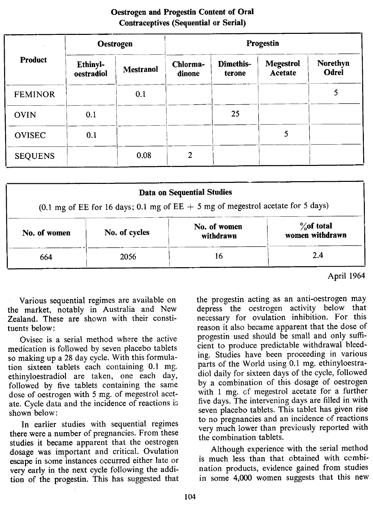|                | <b>Oestrogen</b>              |                  | Progestin          |                     |                             |                          |  |
|----------------|-------------------------------|------------------|--------------------|---------------------|-----------------------------|--------------------------|--|
| <b>Product</b> | <b>Ethinyl-</b><br>oestradiol | <b>Mestranol</b> | Chlorma-<br>dinone | Dimethis-<br>terone | <b>Megestrol</b><br>Acetate | Norethyn<br><b>Odrel</b> |  |
| <b>FEMINOR</b> |                               | 0.1              |                    |                     |                             | 5                        |  |
| <b>OVIN</b>    | 0.1                           |                  |                    | 25                  |                             |                          |  |
| <b>OVISEC</b>  | 0.1                           |                  |                    |                     | 5                           |                          |  |
| <b>SEQUENS</b> |                               | 0.08             | $\overline{2}$     |                     |                             |                          |  |

### Oestrogen and Progestin Content of Oral Contraceptives (Sequential or Serial)

|                                                                                   |               | <b>Data on Sequential Studies</b> |                                  |  |
|-----------------------------------------------------------------------------------|---------------|-----------------------------------|----------------------------------|--|
| (0.1 mg of EE for 16 days; 0.1 mg of EE $+$ 5 mg of megestrol acetate for 5 days) |               |                                   |                                  |  |
| No. of women                                                                      | No. of cycles | No. of women<br>withdrawn         | $\%$ of total<br>women withdrawn |  |
| 664                                                                               | 2056          | 16                                | 2.4                              |  |

April 1964

Various sequential regimes are available on the market, notably in Australia and New Zealand. These are shown with their constituents below:

Ovisec is a serial method where the active medication is followed by seven placebo tablets so making up a 28 day cycle. With this formulation sixteen tablets each containing 0.1 mg. ethinyloestradiol are taken, one each day, followed by five tablets containing the same dose of oestrogen with 5 mg. of megestrol acetate. Cycle data and the incidence of reactions is shown below:

In earlier studies with sequential regimes there were a number of pregnancies. From these studies it became apparent that the oestrogen dosage was important and critical. Ovulation escape in some instances occurred either late or very early in the next cycle following the addition of the progestin. This has suggested that the progestin acting as an anti-oestrogen may depress the oestrogen activity below that necessary for ovulation inhibition. For this reason it also became apparent that the dose of progestin used should be small and only sufficient to produce predictable withdrawal bleeding. Studies have been proceeding in various parts of the World using 0.1 mg. ethinyloestradiol daily for sixteen days of the cycle, followed by a combination of this dosage of oestrogen with 1 mg. cf megestrol acetate for a further five days. The intervening days are filled in with seven placebo tablets. This tablet has given rise to no pregnancies and an incidence of reactions very much lower than previously reported with the combination tablets.

Although experience with the serial method is much less than that obtained with combination products, evidence gained from studies in some 4,000 women suggests that this new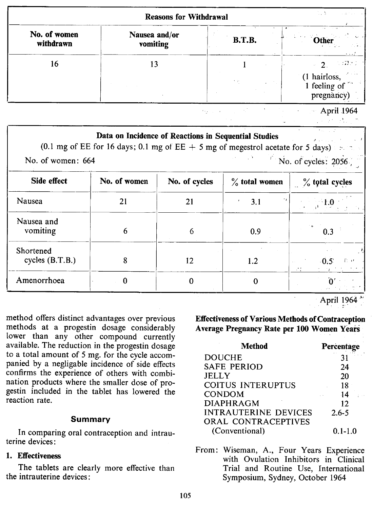|                           | <b>Reasons for Withdrawal</b> |               |                                                            |  |  |  |
|---------------------------|-------------------------------|---------------|------------------------------------------------------------|--|--|--|
| No. of women<br>withdrawn | Nausea and/or<br>vomiting     | <b>B.T.B.</b> | Other<br>sta leis<br>$\sim$ 1.4 $\sigma$                   |  |  |  |
| 16                        |                               |               | ុ <i>រោះ ។</i><br>$\mathcal{L}$                            |  |  |  |
|                           |                               | 大约。           | $(1 \text{ hairloss}, 1 \text{ feeling of})$<br>pregnancy) |  |  |  |

hy sink

April 1964

|                                  |              | Data on Incidence of Reactions in Sequential Studies | Denver 2000                        | (0.1 mg of EE for 16 days; 0.1 mg of EE $+$ 5 mg of megestrol acetate for 5 days) |
|----------------------------------|--------------|------------------------------------------------------|------------------------------------|-----------------------------------------------------------------------------------|
| No. of women: 664<br>Side effect | No. of women | $\%$ total women                                     | $\overline{N}$ No. of cycles: 2056 |                                                                                   |
|                                  |              | No. of cycles                                        |                                    | $\%$ total cycles                                                                 |
| Nausea                           | 21           | 21                                                   | 3.1                                |                                                                                   |
| Nausea and<br>vomiting           | 6            | 6                                                    | 0.9                                | 0.3                                                                               |
| Shortened<br>cycles $(B.T.B.)$   | 8            | 12                                                   | 1.2                                | 右回<br>$-0.5$                                                                      |
| Amenorrhoea                      | 0            | $\Omega$                                             | 0                                  |                                                                                   |

April 1964

method offers distinct advantages over previous methods at a progestin dosage considerably lower than any other compound currently available. The reduction in the progestin dosage to a total amount of 5 mg. for the cycle accompanied by a negligable incidence of side effects confirms the experience of others with combination products where the smaller dose of progestin included in the tablet has lowered the reaction rate.

#### Summary

In comparing oral contraception and intrauterine devices:

#### 1. Effectiveness

The tablets are clearly more effective than the intrauterine devices:

Effectiveness of Various Methods of Contraception Average Pregnancy Rate per 100 Women Years

| Method                      | Percentage  |
|-----------------------------|-------------|
| <b>DOUCHE</b>               | 31          |
| <b>SAFE PERIOD</b>          | 24          |
| <b>JELLY</b>                | 20          |
| COITUS INTERUPTUS           | 18          |
| <b>CONDOM</b>               | 14          |
| <b>DIAPHRAGM</b>            | 12          |
| <b>INTRAUTERINE DEVICES</b> | $2.6 - 5$   |
| <b>ORAL CONTRACEPTIVES</b>  |             |
| (Conventional)              | $0.1 - 1.0$ |

From: Wiseman, A., Four Years Experience with Ovulation Inhibitors in Clinical Trial and Routine Use, International Symposium, Sydney, October 1964